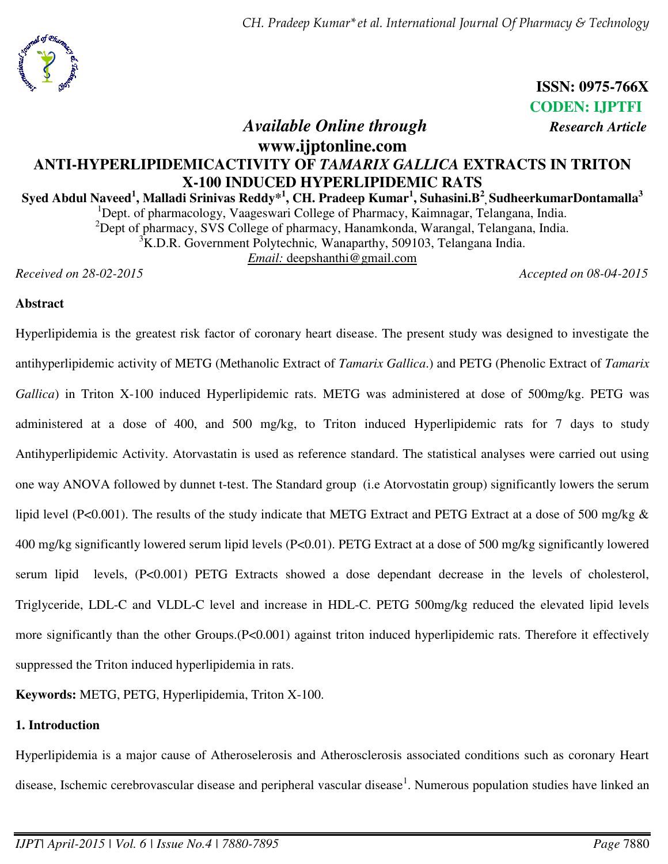

**ISSN: 0975-766X CODEN: IJPTFI**  *Available Online through Research Article* 

# **www.ijptonline.com ANTI-HYPERLIPIDEMICACTIVITY OF** *TAMARIX GALLICA* **EXTRACTS IN TRITON X-100 INDUCED HYPERLIPIDEMIC RATS**

### **Syed Abdul Naveed<sup>1</sup> , Malladi Srinivas Reddy\*<sup>1</sup> , CH. Pradeep Kumar<sup>1</sup> , Suhasini.B<sup>2</sup> , SudheerkumarDontamalla<sup>3</sup>** <sup>1</sup>Dept. of pharmacology, Vaageswari College of Pharmacy, Kaimnagar, Telangana, India. <sup>2</sup>Dept of pharmacy, SVS College of pharmacy, Hanamkonda, Warangal, Telangana, India.

<sup>3</sup>K.D.R. Government Polytechnic, Wanaparthy, 509103, Telangana India.

*Email:* deepshanthi@gmail.com

*Received on 28-02-2015 Accepted on 08-04-2015*

## **Abstract**

Hyperlipidemia is the greatest risk factor of coronary heart disease. The present study was designed to investigate the antihyperlipidemic activity of METG (Methanolic Extract of *Tamarix Gallica*.) and PETG (Phenolic Extract of *Tamarix Gallica*) in Triton X-100 induced Hyperlipidemic rats. METG was administered at dose of 500mg/kg. PETG was administered at a dose of 400, and 500 mg/kg, to Triton induced Hyperlipidemic rats for 7 days to study Antihyperlipidemic Activity. Atorvastatin is used as reference standard. The statistical analyses were carried out using one way ANOVA followed by dunnet t-test. The Standard group (i.e Atorvostatin group) significantly lowers the serum lipid level (P<0.001). The results of the study indicate that METG Extract and PETG Extract at a dose of 500 mg/kg & 400 mg/kg significantly lowered serum lipid levels (P<0.01). PETG Extract at a dose of 500 mg/kg significantly lowered serum lipid levels, (P<0.001) PETG Extracts showed a dose dependant decrease in the levels of cholesterol, Triglyceride, LDL-C and VLDL-C level and increase in HDL-C. PETG 500mg/kg reduced the elevated lipid levels more significantly than the other Groups.(P<0.001) against triton induced hyperlipidemic rats. Therefore it effectively suppressed the Triton induced hyperlipidemia in rats.

**Keywords:** METG, PETG, Hyperlipidemia, Triton X-100.

### **1. Introduction**

Hyperlipidemia is a major cause of Atheroselerosis and Atherosclerosis associated conditions such as coronary Heart disease, Ischemic cerebrovascular disease and peripheral vascular disease<sup>1</sup>. Numerous population studies have linked an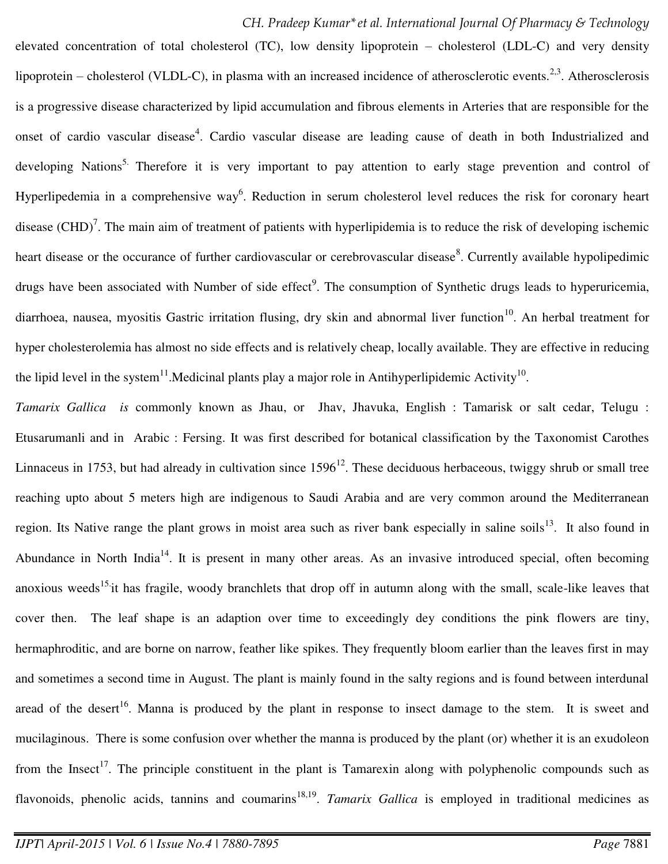elevated concentration of total cholesterol (TC), low density lipoprotein – cholesterol (LDL-C) and very density lipoprotein – cholesterol (VLDL-C), in plasma with an increased incidence of atherosclerotic events.<sup>2,3</sup>. Atherosclerosis is a progressive disease characterized by lipid accumulation and fibrous elements in Arteries that are responsible for the onset of cardio vascular disease<sup>4</sup>. Cardio vascular disease are leading cause of death in both Industrialized and developing Nations<sup>5.</sup> Therefore it is very important to pay attention to early stage prevention and control of Hyperlipedemia in a comprehensive way<sup>6</sup>. Reduction in serum cholesterol level reduces the risk for coronary heart disease (CHD)<sup>7</sup>. The main aim of treatment of patients with hyperlipidemia is to reduce the risk of developing ischemic heart disease or the occurance of further cardiovascular or cerebrovascular disease<sup>8</sup>. Currently available hypolipedimic drugs have been associated with Number of side effect<sup>9</sup>. The consumption of Synthetic drugs leads to hyperuricemia, diarrhoea, nausea, myositis Gastric irritation flusing, dry skin and abnormal liver function<sup>10</sup>. An herbal treatment for hyper cholesterolemia has almost no side effects and is relatively cheap, locally available. They are effective in reducing the lipid level in the system<sup>11</sup>. Medicinal plants play a major role in Antihyperlipidemic Activity<sup>10</sup>.

*Tamarix Gallica is* commonly known as Jhau, or Jhav, Jhavuka, English : Tamarisk or salt cedar, Telugu : Etusarumanli and in Arabic : Fersing. It was first described for botanical classification by the Taxonomist Carothes Linnaceus in 1753, but had already in cultivation since  $1596^{12}$ . These deciduous herbaceous, twiggy shrub or small tree reaching upto about 5 meters high are indigenous to Saudi Arabia and are very common around the Mediterranean region. Its Native range the plant grows in moist area such as river bank especially in saline soils<sup>13</sup>. It also found in Abundance in North India<sup>14</sup>. It is present in many other areas. As an invasive introduced special, often becoming anoxious weeds<sup>15.</sup>it has fragile, woody branchlets that drop off in autumn along with the small, scale-like leaves that cover then. The leaf shape is an adaption over time to exceedingly dey conditions the pink flowers are tiny, hermaphroditic, and are borne on narrow, feather like spikes. They frequently bloom earlier than the leaves first in may and sometimes a second time in August. The plant is mainly found in the salty regions and is found between interdunal aread of the desert<sup>16</sup>. Manna is produced by the plant in response to insect damage to the stem. It is sweet and mucilaginous. There is some confusion over whether the manna is produced by the plant (or) whether it is an exudoleon from the Insect<sup>17</sup>. The principle constituent in the plant is Tamarexin along with polyphenolic compounds such as flavonoids, phenolic acids, tannins and coumarins<sup>18,19</sup>. Tamarix Gallica is employed in traditional medicines as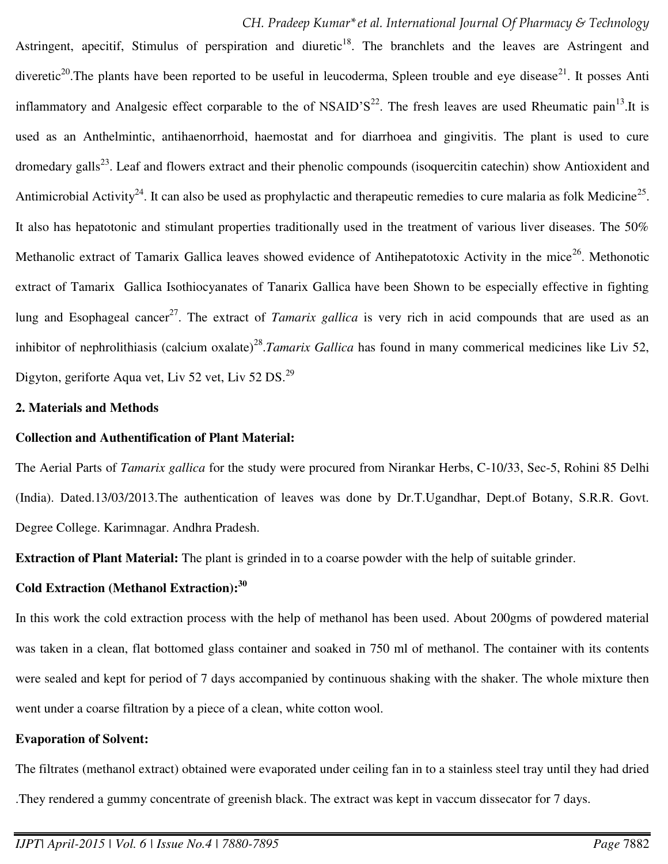Astringent, apecitif, Stimulus of perspiration and diuretic<sup>18</sup>. The branchlets and the leaves are Astringent and diveretic<sup>20</sup>. The plants have been reported to be useful in leucoderma, Spleen trouble and eye disease<sup>21</sup>. It posses Anti inflammatory and Analgesic effect corparable to the of NSAID'S<sup>22</sup>. The fresh leaves are used Rheumatic pain<sup>13</sup>.It is used as an Anthelmintic, antihaenorrhoid, haemostat and for diarrhoea and gingivitis. The plant is used to cure dromedary galls<sup>23</sup>. Leaf and flowers extract and their phenolic compounds (isoquercitin catechin) show Antioxident and Antimicrobial Activity<sup>24</sup>. It can also be used as prophylactic and therapeutic remedies to cure malaria as folk Medicine<sup>25</sup>. It also has hepatotonic and stimulant properties traditionally used in the treatment of various liver diseases. The 50% Methanolic extract of Tamarix Gallica leaves showed evidence of Antihepatotoxic Activity in the mice<sup>26</sup>. Methonotic extract of Tamarix Gallica Isothiocyanates of Tanarix Gallica have been Shown to be especially effective in fighting lung and Esophageal cancer<sup>27</sup>. The extract of *Tamarix gallica* is very rich in acid compounds that are used as an inhibitor of nephrolithiasis (calcium oxalate)<sup>28</sup>.*Tamarix Gallica* has found in many commerical medicines like Liv 52, Digyton, geriforte Aqua vet, Liv 52 vet, Liv 52 DS.<sup>29</sup>

#### **2. Materials and Methods**

#### **Collection and Authentification of Plant Material:**

The Aerial Parts of *Tamarix gallica* for the study were procured from Nirankar Herbs, C-10/33, Sec-5, Rohini 85 Delhi (India). Dated.13/03/2013.The authentication of leaves was done by Dr.T.Ugandhar, Dept.of Botany, S.R.R. Govt. Degree College. Karimnagar. Andhra Pradesh.

**Extraction of Plant Material:** The plant is grinded in to a coarse powder with the help of suitable grinder.

## **Cold Extraction (Methanol Extraction):<sup>30</sup>**

In this work the cold extraction process with the help of methanol has been used. About 200gms of powdered material was taken in a clean, flat bottomed glass container and soaked in 750 ml of methanol. The container with its contents were sealed and kept for period of 7 days accompanied by continuous shaking with the shaker. The whole mixture then went under a coarse filtration by a piece of a clean, white cotton wool.

#### **Evaporation of Solvent:**

The filtrates (methanol extract) obtained were evaporated under ceiling fan in to a stainless steel tray until they had dried .They rendered a gummy concentrate of greenish black. The extract was kept in vaccum dissecator for 7 days.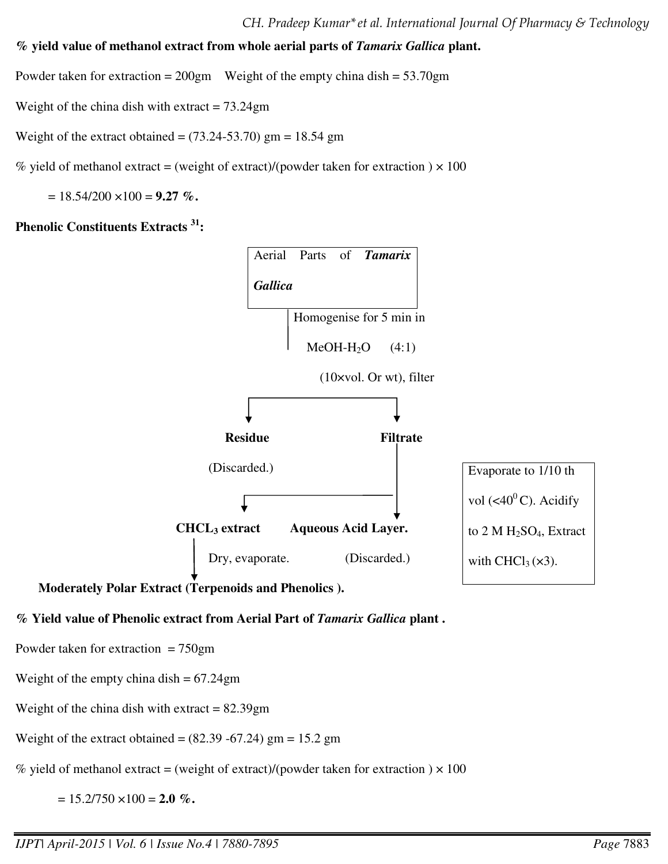**% yield value of methanol extract from whole aerial parts of** *Tamarix Gallica* **plant.** 

Powder taken for extraction =  $200gm$  Weight of the empty china dish =  $53.70gm$ 

Weight of the china dish with extract  $= 73.24$ gm

Weight of the extract obtained =  $(73.24 - 53.70)$  gm = 18.54 gm

% yield of methanol extract = (weight of extract)/(powder taken for extraction  $) \times 100$ 

 $= 18.54/200 \times 100 = 9.27$  %.

**Phenolic Constituents Extracts <sup>31</sup>:** 



 **Moderately Polar Extract (Terpenoids and Phenolics ).** 

## **% Yield value of Phenolic extract from Aerial Part of** *Tamarix Gallica* **plant .**

Powder taken for extraction  $= 750$ gm

Weight of the empty china dish  $= 67.24$ gm

Weight of the china dish with extract  $= 82.39$ gm

Weight of the extract obtained =  $(82.39 - 67.24)$  gm = 15.2 gm

% yield of methanol extract = (weight of extract)/(powder taken for extraction  $) \times 100$ 

 $= 15.2/750 \times 100 = 2.0 \%$ .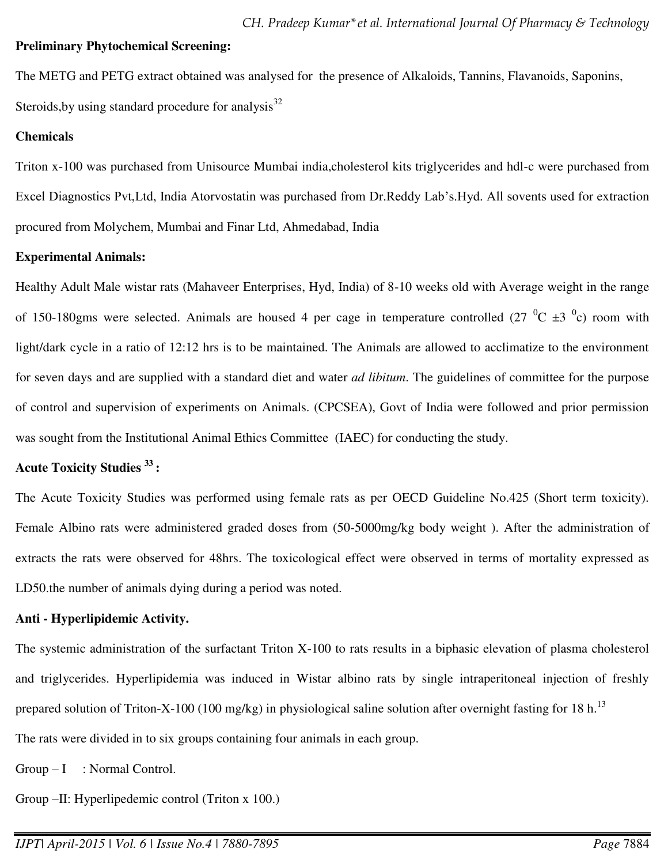#### **Preliminary Phytochemical Screening:**

The METG and PETG extract obtained was analysed for the presence of Alkaloids, Tannins, Flavanoids, Saponins, Steroids, by using standard procedure for analysis $32$ 

#### **Chemicals**

Triton x-100 was purchased from Unisource Mumbai india,cholesterol kits triglycerides and hdl-c were purchased from Excel Diagnostics Pvt,Ltd, India Atorvostatin was purchased from Dr.Reddy Lab's.Hyd. All sovents used for extraction procured from Molychem, Mumbai and Finar Ltd, Ahmedabad, India

#### **Experimental Animals:**

Healthy Adult Male wistar rats (Mahaveer Enterprises, Hyd, India) of 8-10 weeks old with Average weight in the range of 150-180gms were selected. Animals are housed 4 per cage in temperature controlled (27  $\rm{^0C}$   $\pm$ 3  $\rm{^0c}$ ) room with light/dark cycle in a ratio of 12:12 hrs is to be maintained. The Animals are allowed to acclimatize to the environment for seven days and are supplied with a standard diet and water *ad libitum*. The guidelines of committee for the purpose of control and supervision of experiments on Animals. (CPCSEA), Govt of India were followed and prior permission was sought from the Institutional Animal Ethics Committee (IAEC) for conducting the study.

#### **Acute Toxicity Studies <sup>33</sup> :**

The Acute Toxicity Studies was performed using female rats as per OECD Guideline No.425 (Short term toxicity). Female Albino rats were administered graded doses from (50-5000mg/kg body weight ). After the administration of extracts the rats were observed for 48hrs. The toxicological effect were observed in terms of mortality expressed as LD50.the number of animals dying during a period was noted.

#### **Anti - Hyperlipidemic Activity.**

The systemic administration of the surfactant Triton X-100 to rats results in a biphasic elevation of plasma cholesterol and triglycerides. Hyperlipidemia was induced in Wistar albino rats by single intraperitoneal injection of freshly prepared solution of Triton-X-100 (100 mg/kg) in physiological saline solution after overnight fasting for 18 h.<sup>13</sup>

The rats were divided in to six groups containing four animals in each group.

 $Group-I$  : Normal Control.

Group –II: Hyperlipedemic control (Triton x 100.)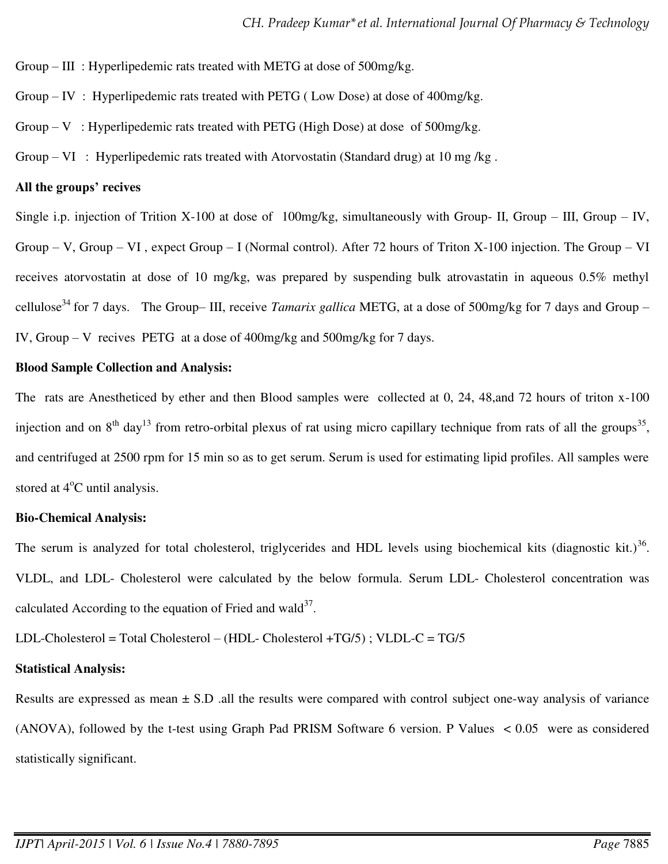Group – III : Hyperlipedemic rats treated with METG at dose of 500mg/kg.

- Group IV : Hyperlipedemic rats treated with PETG ( Low Dose) at dose of 400mg/kg.
- Group V: Hyperlipedemic rats treated with PETG (High Dose) at dose of  $500$ mg/kg.
- Group VI : Hyperlipedemic rats treated with Atorvostatin (Standard drug) at 10 mg /kg.

#### **All the groups' recives**

Single i.p. injection of Trition X-100 at dose of 100mg/kg, simultaneously with Group- II, Group – III, Group – IV, Group – V, Group – VI , expect Group – I (Normal control). After 72 hours of Triton X-100 injection. The Group – VI receives atorvostatin at dose of 10 mg/kg, was prepared by suspending bulk atrovastatin in aqueous 0.5% methyl cellulose<sup>34</sup> for 7 days. The Group– III, receive *Tamarix gallica* METG, at a dose of 500mg/kg for 7 days and Group – IV, Group – V recives PETG at a dose of 400mg/kg and 500mg/kg for 7 days.

#### **Blood Sample Collection and Analysis:**

The rats are Anestheticed by ether and then Blood samples were collected at 0, 24, 48,and 72 hours of triton x-100 injection and on  $8<sup>th</sup>$  day<sup>13</sup> from retro-orbital plexus of rat using micro capillary technique from rats of all the groups<sup>35</sup>, and centrifuged at 2500 rpm for 15 min so as to get serum. Serum is used for estimating lipid profiles. All samples were stored at  $4^{\circ}$ C until analysis.

#### **Bio-Chemical Analysis:**

The serum is analyzed for total cholesterol, triglycerides and HDL levels using biochemical kits (diagnostic kit.) $36$ . VLDL, and LDL- Cholesterol were calculated by the below formula. Serum LDL- Cholesterol concentration was calculated According to the equation of Fried and wald $^{37}$ .

LDL-Cholesterol = Total Cholesterol – (HDL- Cholesterol +TG/5) ; VLDL-C = TG/5

#### **Statistical Analysis:**

Results are expressed as mean  $\pm$  S.D .all the results were compared with control subject one-way analysis of variance (ANOVA), followed by the t-test using Graph Pad PRISM Software 6 version. P Values < 0.05 were as considered statistically significant.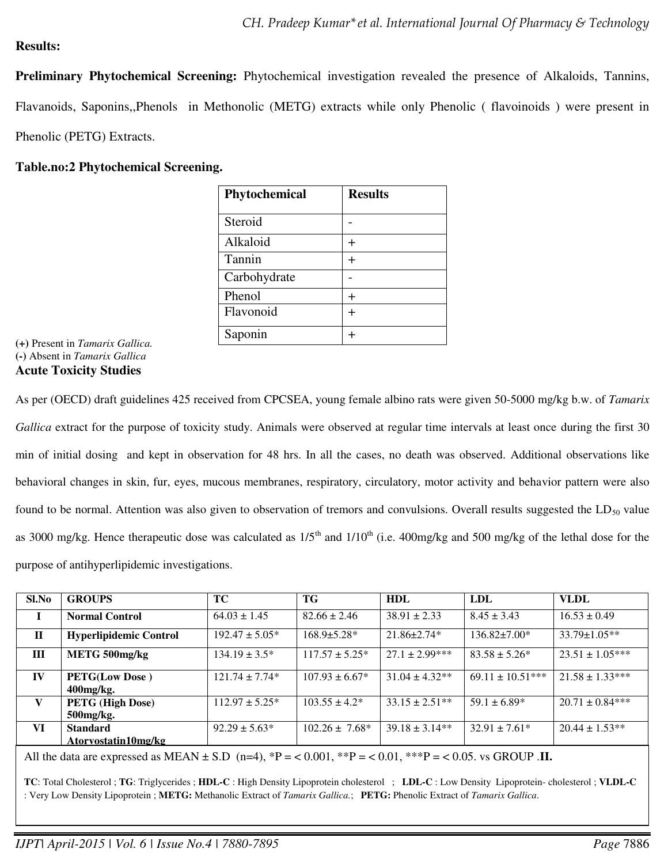### **Results:**

**Preliminary Phytochemical Screening:** Phytochemical investigation revealed the presence of Alkaloids, Tannins, Flavanoids, Saponins,,Phenols in Methonolic (METG) extracts while only Phenolic ( flavoinoids ) were present in Phenolic (PETG) Extracts.

### **Table.no:2 Phytochemical Screening.**

| Phytochemical | <b>Results</b> |
|---------------|----------------|
| Steroid       |                |
| Alkaloid      |                |
| Tannin        | ┿              |
| Carbohydrate  |                |
| Phenol        |                |
| Flavonoid     | ┿              |
| Saponin       |                |

**(+)** Present in *Tamarix Gallica.* **(-)** Absent in *Tamarix Gallica* **Acute Toxicity Studies**

As per (OECD) draft guidelines 425 received from CPCSEA, young female albino rats were given 50-5000 mg/kg b.w. of *Tamarix Gallica* extract for the purpose of toxicity study. Animals were observed at regular time intervals at least once during the first 30 min of initial dosing and kept in observation for 48 hrs. In all the cases, no death was observed. Additional observations like behavioral changes in skin, fur, eyes, mucous membranes, respiratory, circulatory, motor activity and behavior pattern were also found to be normal. Attention was also given to observation of tremors and convulsions. Overall results suggested the  $LD_{50}$  value as 3000 mg/kg. Hence therapeutic dose was calculated as  $1/5<sup>th</sup>$  and  $1/10<sup>th</sup>$  (i.e. 400mg/kg and 500 mg/kg of the lethal dose for the purpose of antihyperlipidemic investigations.

| Sl.No                                                                                                                                           | <b>GROUPS</b>                 | <b>TC</b>           | TG                  | HDL                | <b>LDL</b>           | <b>VLDL</b>         |  |
|-------------------------------------------------------------------------------------------------------------------------------------------------|-------------------------------|---------------------|---------------------|--------------------|----------------------|---------------------|--|
| $\bf{I}$                                                                                                                                        | <b>Normal Control</b>         | $64.03 \pm 1.45$    | $82.66 \pm 2.46$    | $38.91 \pm 2.33$   | $8.45 \pm 3.43$      | $16.53 \pm 0.49$    |  |
| $\mathbf{H}$                                                                                                                                    | <b>Hyperlipidemic Control</b> | $192.47 \pm 5.05^*$ | $168.9 \pm 5.28$ *  | $21.86 \pm 2.74*$  | $136.82 \pm 7.00*$   | $33.79 \pm 1.05**$  |  |
| Ш                                                                                                                                               | METG 500mg/kg                 | $134.19 \pm 3.5^*$  | $117.57 \pm 5.25^*$ | $27.1 \pm 2.99***$ | $83.58 \pm 5.26^*$   | $23.51 \pm 1.05***$ |  |
| IV                                                                                                                                              | <b>PETG(Low Dose)</b>         | $121.74 \pm 7.74*$  | $107.93 \pm 6.67^*$ | $31.04 \pm 4.32**$ | $69.11 \pm 10.51***$ | $21.58 \pm 1.33***$ |  |
|                                                                                                                                                 | $400$ mg/kg.                  |                     |                     |                    |                      |                     |  |
| V                                                                                                                                               | <b>PETG</b> (High Dose)       | $112.97 \pm 5.25^*$ | $103.55 \pm 4.2^*$  | $33.15 \pm 2.51**$ | $59.1 \pm 6.89*$     | $20.71 \pm 0.84***$ |  |
|                                                                                                                                                 | 500mg/kg.                     |                     |                     |                    |                      |                     |  |
| VI                                                                                                                                              | <b>Standard</b>               | $92.29 \pm 5.63*$   | $102.26 \pm 7.68^*$ | $39.18 \pm 3.14**$ | $32.91 \pm 7.61*$    | $20.44 \pm 1.53**$  |  |
|                                                                                                                                                 | Atoryostatin10mg/kg           |                     |                     |                    |                      |                     |  |
| All the data are expressed as MEAN $\pm$ S.D (n=4), *P = < 0.001, **P = < 0.01, **P = < 0.05, vs GROUP .II.                                     |                               |                     |                     |                    |                      |                     |  |
| TC: Total Cholesterol ; TG: Triglycerides ; HDL-C : High Density Lipoprotein cholesterol ; LDL-C : Low Density Lipoprotein-cholesterol ; VLDL-C |                               |                     |                     |                    |                      |                     |  |
| : Very Low Density Lipoprotein; METG: Methanolic Extract of Tamarix Gallica.; PETG: Phenolic Extract of Tamarix Gallica.                        |                               |                     |                     |                    |                      |                     |  |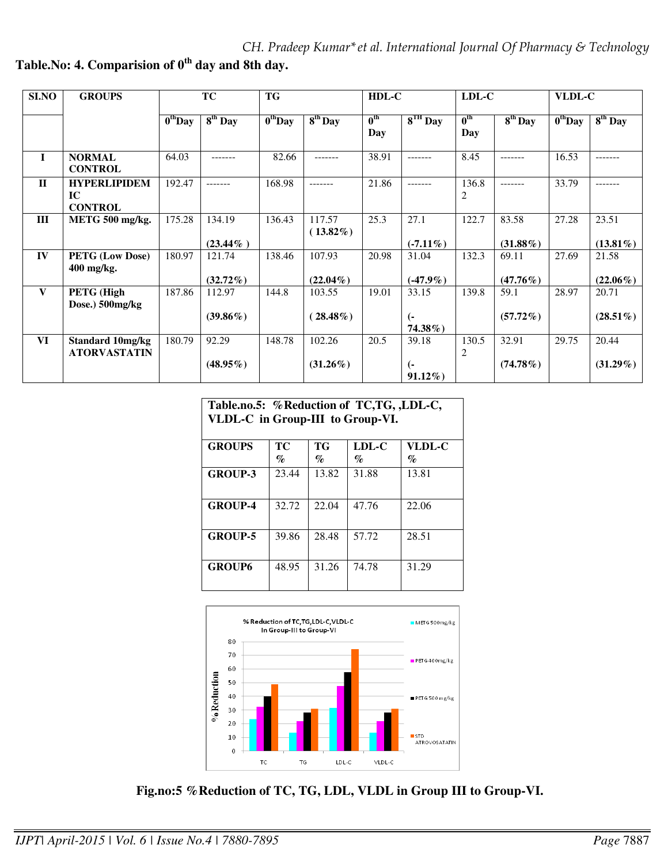| <b>SI.NO</b> | <b>GROUPS</b>                               | TC                                      |                       | <b>TG</b>           |                       | HDL-C                  |                                  | LDL-C                   |                      | VLDL-C                                                            |                      |
|--------------|---------------------------------------------|-----------------------------------------|-----------------------|---------------------|-----------------------|------------------------|----------------------------------|-------------------------|----------------------|-------------------------------------------------------------------|----------------------|
|              |                                             | $\overline{\mathbf{0}}^{\text{th}}$ Day | $8th$ Day             | $0^{\text{th}}$ Day | $8th$ Day             | $0^{\text{th}}$<br>Day | $8^{TH}$ Day                     | $0^{\text{th}}$<br>Day  | $8th$ Day            | $\overline{\mathbf{0}^{\text{th}}\mathbf{D}\mathbf{a}}\mathbf{y}$ | $8th$ Day            |
| $\mathbf{I}$ | <b>NORMAL</b><br><b>CONTROL</b>             | 64.03                                   |                       | 82.66               | -------               | 38.91                  | -------                          | 8.45                    | -------              | 16.53                                                             | .                    |
| $\Pi$        | <b>HYPERLIPIDEM</b><br>IC<br><b>CONTROL</b> | 192.47                                  | -------               | 168.98              | -------               | 21.86                  | -------                          | 136.8<br>2              | -------              | 33.79                                                             | -------              |
| III          | METG 500 mg/kg.                             | 175.28                                  | 134.19<br>$(23.44\%)$ | 136.43              | 117.57<br>$(13.82\%)$ | 25.3                   | 27.1<br>$(-7.11\%)$              | 122.7                   | 83.58<br>$(31.88\%)$ | 27.28                                                             | 23.51<br>$(13.81\%)$ |
| IV           | <b>PETG (Low Dose)</b><br>400 mg/kg.        | 180.97                                  | 121.74<br>$(32.72\%)$ | 138.46              | 107.93<br>$(22.04\%)$ | 20.98                  | 31.04<br>$(-47.9\%)$             | 132.3                   | 69.11<br>$(47.76\%)$ | 27.69                                                             | 21.58<br>$(22.06\%)$ |
| V            | PETG (High<br>Dose.) 500mg/kg               | 187.86                                  | 112.97<br>$(39.86\%)$ | 144.8               | 103.55<br>$(28.48\%)$ | 19.01                  | 33.15<br>(-<br>$74.38\%$ )       | 139.8                   | 59.1<br>$(57.72\%)$  | 28.97                                                             | 20.71<br>$(28.51\%)$ |
| <b>VI</b>    | Standard 10mg/kg<br><b>ATORVASTATIN</b>     | 180.79                                  | 92.29<br>$(48.95\%)$  | 148.78              | 102.26<br>$(31.26\%)$ | 20.5                   | 39.18<br>$\left($ -<br>$91.12\%$ | 130.5<br>$\overline{2}$ | 32.91<br>$(74.78\%)$ | 29.75                                                             | 20.44<br>$(31.29\%)$ |

**Table.No: 4. Comparision of 0th day and 8th day.** 

| Table.no.5: %Reduction of TC,TG, ,LDL-C, |
|------------------------------------------|
| VLDL-C in Group-III to Group-VI.         |

| <b>GROUPS</b>  | TC    | <b>TG</b> | LDL-C                       | <b>VLDL-C</b> |  |  |
|----------------|-------|-----------|-----------------------------|---------------|--|--|
|                | $\%$  | $\%$      | $\mathcal{G}_{\mathcal{O}}$ | $\%$          |  |  |
| <b>GROUP-3</b> | 23.44 | 13.82     | 31.88                       | 13.81         |  |  |
|                |       |           |                             |               |  |  |
| <b>GROUP-4</b> | 32.72 | 22.04     | 47.76                       | 22.06         |  |  |
| <b>GROUP-5</b> | 39.86 | 28.48     | 57.72                       | 28.51         |  |  |
| <b>GROUP6</b>  | 48.95 | 31.26     | 74.78                       | 31.29         |  |  |



 **Fig.no:5 %Reduction of TC, TG, LDL, VLDL in Group III to Group-VI.**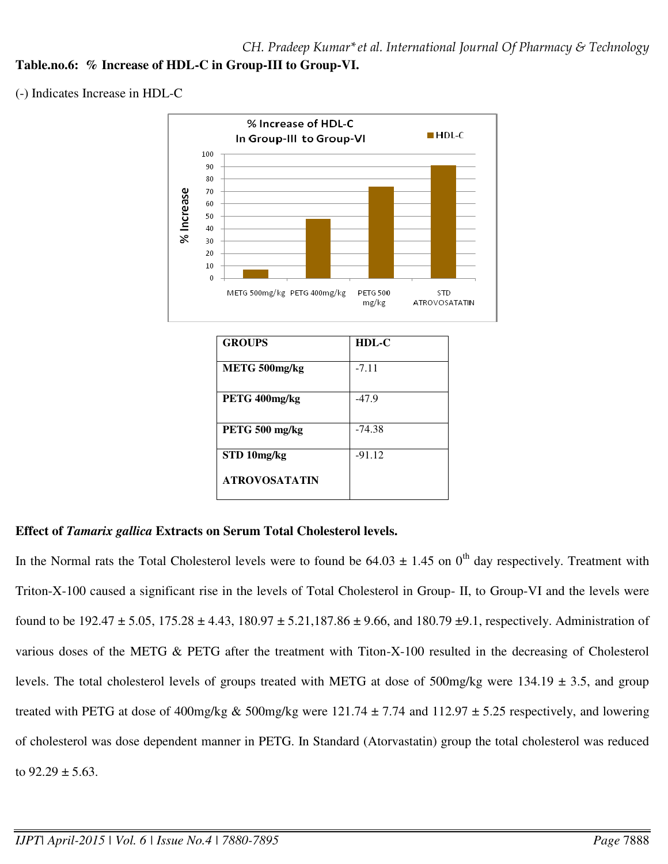(-) Indicates Increase in HDL-C



## **Effect of** *Tamarix gallica* **Extracts on Serum Total Cholesterol levels.**

In the Normal rats the Total Cholesterol levels were to found be  $64.03 \pm 1.45$  on 0<sup>th</sup> day respectively. Treatment with Triton-X-100 caused a significant rise in the levels of Total Cholesterol in Group- II, to Group-VI and the levels were found to be  $192.47 \pm 5.05$ ,  $175.28 \pm 4.43$ ,  $180.97 \pm 5.21$ ,  $187.86 \pm 9.66$ , and  $180.79 \pm 9.1$ , respectively. Administration of various doses of the METG & PETG after the treatment with Titon-X-100 resulted in the decreasing of Cholesterol levels. The total cholesterol levels of groups treated with METG at dose of 500mg/kg were 134.19  $\pm$  3.5, and group treated with PETG at dose of 400mg/kg & 500mg/kg were  $121.74 \pm 7.74$  and  $112.97 \pm 5.25$  respectively, and lowering of cholesterol was dose dependent manner in PETG. In Standard (Atorvastatin) group the total cholesterol was reduced to  $92.29 \pm 5.63$ .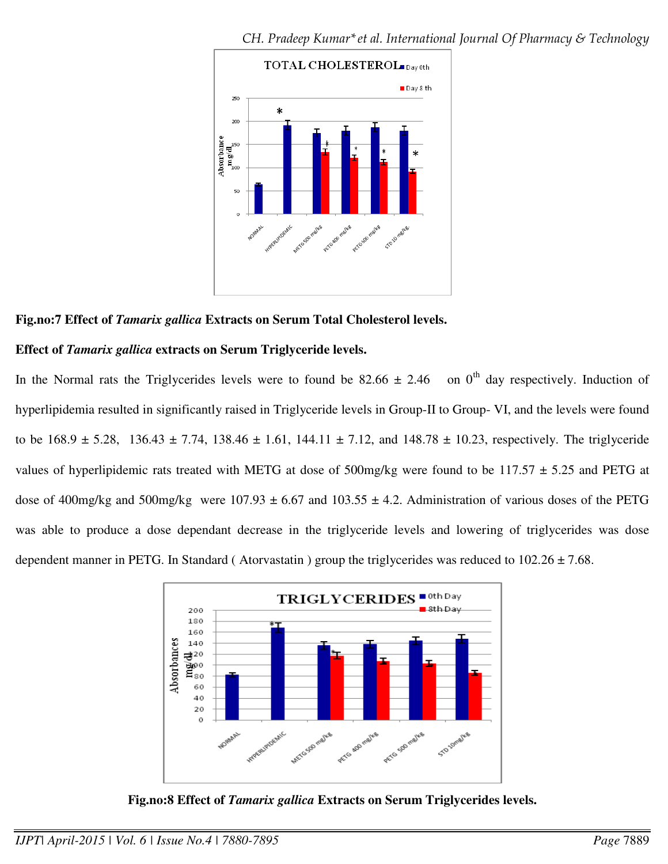

### **Fig.no:7 Effect of** *Tamarix gallica* **Extracts on Serum Total Cholesterol levels.**

### **Effect of** *Tamarix gallica* **extracts on Serum Triglyceride levels.**

In the Normal rats the Triglycerides levels were to found be  $82.66 \pm 2.46$  on 0<sup>th</sup> day respectively. Induction of hyperlipidemia resulted in significantly raised in Triglyceride levels in Group-II to Group- VI, and the levels were found to be  $168.9 \pm 5.28$ ,  $136.43 \pm 7.74$ ,  $138.46 \pm 1.61$ ,  $144.11 \pm 7.12$ , and  $148.78 \pm 10.23$ , respectively. The triglyceride values of hyperlipidemic rats treated with METG at dose of 500mg/kg were found to be  $117.57 \pm 5.25$  and PETG at dose of 400mg/kg and 500mg/kg were  $107.93 \pm 6.67$  and  $103.55 \pm 4.2$ . Administration of various doses of the PETG was able to produce a dose dependant decrease in the triglyceride levels and lowering of triglycerides was dose dependent manner in PETG. In Standard (Atorvastatin) group the triglycerides was reduced to  $102.26 \pm 7.68$ .



**Fig.no:8 Effect of** *Tamarix gallica* **Extracts on Serum Triglycerides levels.**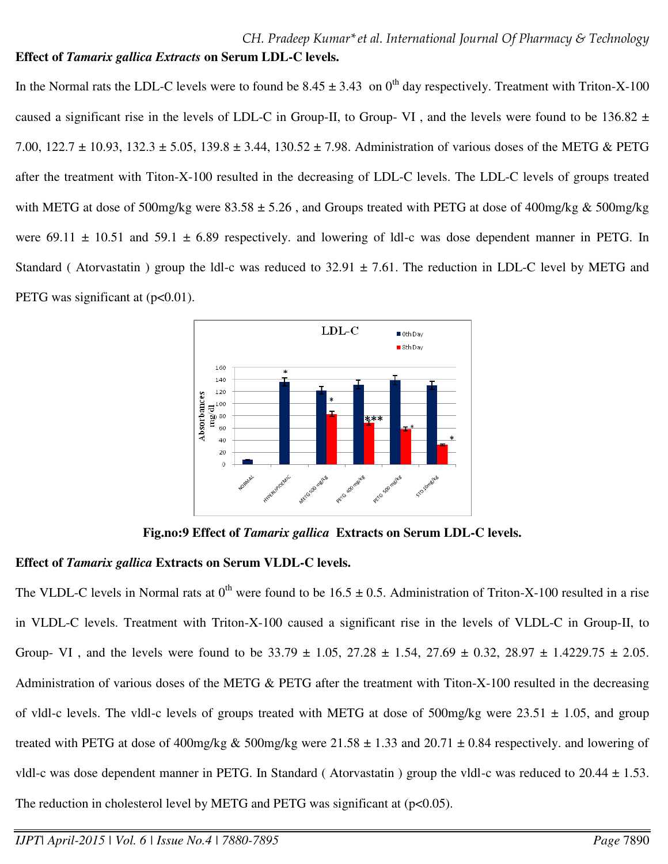In the Normal rats the LDL-C levels were to found be  $8.45 \pm 3.43$  on 0<sup>th</sup> day respectively. Treatment with Triton-X-100 caused a significant rise in the levels of LDL-C in Group-II, to Group-VI, and the levels were found to be  $136.82 \pm$ 7.00, 122.7  $\pm$  10.93, 132.3  $\pm$  5.05, 139.8  $\pm$  3.44, 130.52  $\pm$  7.98. Administration of various doses of the METG & PETG after the treatment with Titon-X-100 resulted in the decreasing of LDL-C levels. The LDL-C levels of groups treated with METG at dose of 500mg/kg were  $83.58 \pm 5.26$ , and Groups treated with PETG at dose of 400mg/kg & 500mg/kg were 69.11  $\pm$  10.51 and 59.1  $\pm$  6.89 respectively. and lowering of ldl-c was dose dependent manner in PETG. In Standard (Atorvastatin) group the Idl-c was reduced to  $32.91 \pm 7.61$ . The reduction in LDL-C level by METG and PETG was significant at  $(p<0.01)$ .



**Fig.no:9 Effect of** *Tamarix gallica* **Extracts on Serum LDL-C levels.** 

## **Effect of** *Tamarix gallica* **Extracts on Serum VLDL-C levels.**

The VLDL-C levels in Normal rats at  $0^{th}$  were found to be  $16.5 \pm 0.5$ . Administration of Triton-X-100 resulted in a rise in VLDL-C levels. Treatment with Triton-X-100 caused a significant rise in the levels of VLDL-C in Group-II, to Group- VI, and the levels were found to be  $33.79 \pm 1.05$ ,  $27.28 \pm 1.54$ ,  $27.69 \pm 0.32$ ,  $28.97 \pm 1.4229.75 \pm 2.05$ . Administration of various doses of the METG & PETG after the treatment with Titon-X-100 resulted in the decreasing of vldl-c levels. The vldl-c levels of groups treated with METG at dose of  $500$ mg/kg were  $23.51 \pm 1.05$ , and group treated with PETG at dose of 400mg/kg & 500mg/kg were  $21.58 \pm 1.33$  and  $20.71 \pm 0.84$  respectively. and lowering of vldl-c was dose dependent manner in PETG. In Standard (Atorvastatin) group the vldl-c was reduced to  $20.44 \pm 1.53$ . The reduction in cholesterol level by METG and PETG was significant at  $(p<0.05)$ .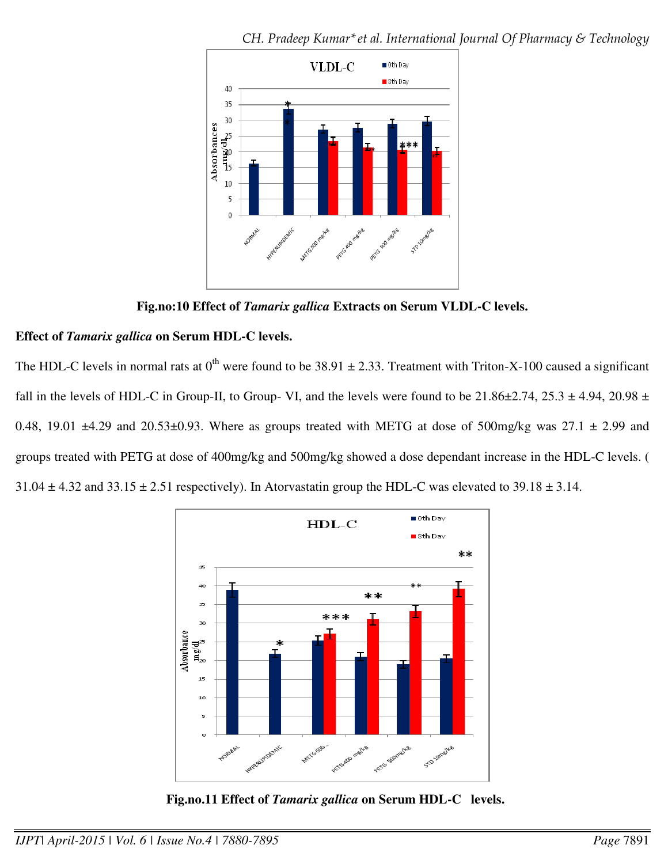

*CH. Pradeep Kumar\*et al. International Journal Of Pharmacy & Technology*

**Fig.no:10 Effect of** *Tamarix gallica* **Extracts on Serum VLDL-C levels.**

## **Effect of** *Tamarix gallica* **on Serum HDL-C levels.**

The HDL-C levels in normal rats at  $0^{th}$  were found to be 38.91  $\pm$  2.33. Treatment with Triton-X-100 caused a significant fall in the levels of HDL-C in Group-II, to Group- VI, and the levels were found to be  $21.86\pm2.74$ ,  $25.3\pm4.94$ ,  $20.98\pm$ 0.48, 19.01  $\pm$ 4.29 and 20.53 $\pm$ 0.93. Where as groups treated with METG at dose of 500mg/kg was 27.1  $\pm$  2.99 and groups treated with PETG at dose of 400mg/kg and 500mg/kg showed a dose dependant increase in the HDL-C levels. (  $31.04 \pm 4.32$  and  $33.15 \pm 2.51$  respectively). In Atorvastatin group the HDL-C was elevated to  $39.18 \pm 3.14$ .



 **Fig.no.11 Effect of** *Tamarix gallica* **on Serum HDL-C levels.**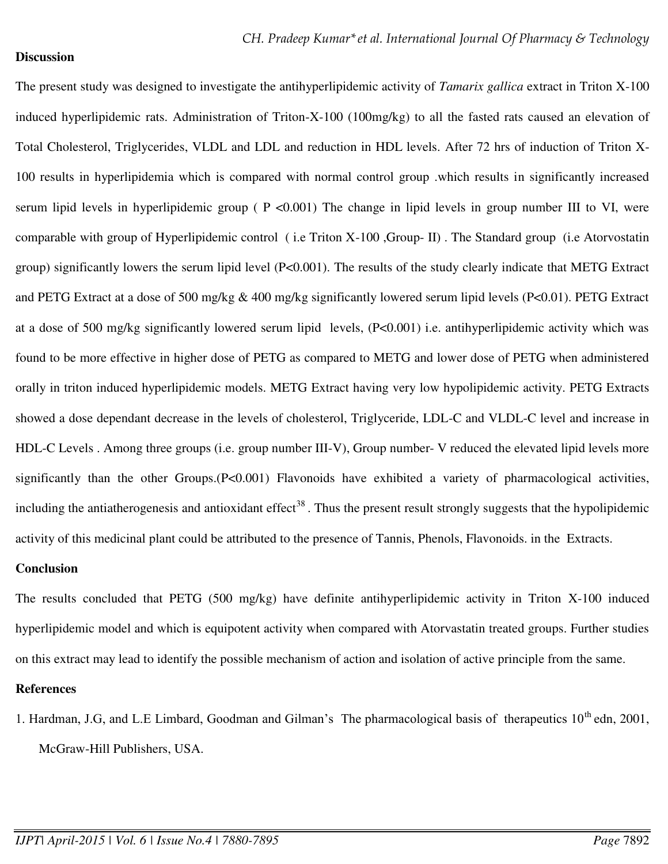#### **Discussion**

The present study was designed to investigate the antihyperlipidemic activity of *Tamarix gallica* extract in Triton X-100 induced hyperlipidemic rats. Administration of Triton-X-100 (100mg/kg) to all the fasted rats caused an elevation of Total Cholesterol, Triglycerides, VLDL and LDL and reduction in HDL levels. After 72 hrs of induction of Triton X-100 results in hyperlipidemia which is compared with normal control group .which results in significantly increased serum lipid levels in hyperlipidemic group ( $P < 0.001$ ) The change in lipid levels in group number III to VI, were comparable with group of Hyperlipidemic control ( i.e Triton X-100 ,Group- II) . The Standard group (i.e Atorvostatin group) significantly lowers the serum lipid level (P<0.001). The results of the study clearly indicate that METG Extract and PETG Extract at a dose of 500 mg/kg & 400 mg/kg significantly lowered serum lipid levels (P<0.01). PETG Extract at a dose of 500 mg/kg significantly lowered serum lipid levels, (P<0.001) i.e. antihyperlipidemic activity which was found to be more effective in higher dose of PETG as compared to METG and lower dose of PETG when administered orally in triton induced hyperlipidemic models. METG Extract having very low hypolipidemic activity. PETG Extracts showed a dose dependant decrease in the levels of cholesterol, Triglyceride, LDL-C and VLDL-C level and increase in HDL-C Levels . Among three groups (i.e. group number III-V), Group number- V reduced the elevated lipid levels more significantly than the other Groups.(P<0.001) Flavonoids have exhibited a variety of pharmacological activities, including the antiatherogenesis and antioxidant effect<sup>38</sup>. Thus the present result strongly suggests that the hypolipidemic activity of this medicinal plant could be attributed to the presence of Tannis, Phenols, Flavonoids. in the Extracts.

#### **Conclusion**

The results concluded that PETG (500 mg/kg) have definite antihyperlipidemic activity in Triton X-100 induced hyperlipidemic model and which is equipotent activity when compared with Atorvastatin treated groups. Further studies on this extract may lead to identify the possible mechanism of action and isolation of active principle from the same.

#### **References**

1. Hardman, J.G, and L.E Limbard, Goodman and Gilman's The pharmacological basis of therapeutics 10<sup>th</sup> edn, 2001, McGraw-Hill Publishers, USA.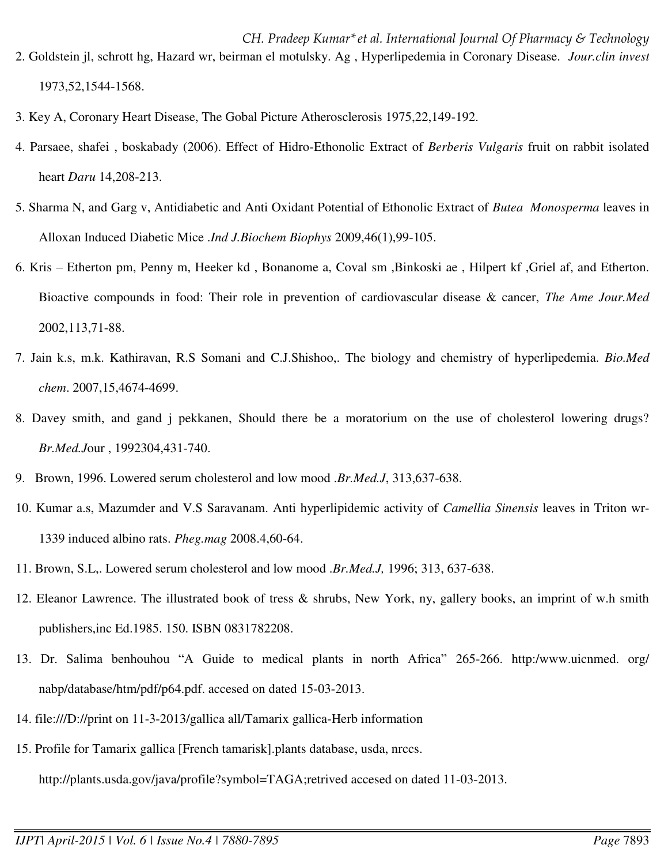- *CH. Pradeep Kumar\*et al. International Journal Of Pharmacy & Technology* 2. Goldstein jl, schrott hg, Hazard wr, beirman el motulsky. Ag , Hyperlipedemia in Coronary Disease. *Jour.clin invest* 1973,52,1544-1568.
- 3. Key A, Coronary Heart Disease, The Gobal Picture Atherosclerosis 1975,22,149-192.
- 4. Parsaee, shafei , boskabady (2006). Effect of Hidro-Ethonolic Extract of *Berberis Vulgaris* fruit on rabbit isolated heart *Daru* 14,208-213.
- 5. Sharma N, and Garg v, Antidiabetic and Anti Oxidant Potential of Ethonolic Extract of *Butea Monosperma* leaves in Alloxan Induced Diabetic Mice .*Ind J.Biochem Biophys* 2009,46(1),99-105.
- 6. Kris Etherton pm, Penny m, Heeker kd , Bonanome a, Coval sm ,Binkoski ae , Hilpert kf ,Griel af, and Etherton. Bioactive compounds in food: Their role in prevention of cardiovascular disease & cancer, *The Ame Jour.Med* 2002,113,71-88.
- 7. Jain k.s, m.k. Kathiravan, R.S Somani and C.J.Shishoo,. The biology and chemistry of hyperlipedemia. *Bio.Med chem*. 2007,15,4674-4699.
- 8. Davey smith, and gand j pekkanen, Should there be a moratorium on the use of cholesterol lowering drugs? *Br.Med.J*our , 1992304,431-740.
- 9. Brown, 1996. Lowered serum cholesterol and low mood .*Br.Med.J*, 313,637-638.
- 10. Kumar a.s, Mazumder and V.S Saravanam. Anti hyperlipidemic activity of *Camellia Sinensis* leaves in Triton wr-1339 induced albino rats. *Pheg.mag* 2008.4,60-64.
- 11. Brown, S.L,. Lowered serum cholesterol and low mood .*Br.Med.J,* 1996; 313, 637-638.
- 12. Eleanor Lawrence. The illustrated book of tress & shrubs, New York, ny, gallery books, an imprint of w.h smith publishers,inc Ed.1985. 150. ISBN 0831782208.
- 13. Dr. Salima benhouhou "A Guide to medical plants in north Africa" 265-266. http:/www.uicnmed. org/ nabp/database/htm/pdf/p64.pdf. accesed on dated 15-03-2013.
- 14. [file:///D://print](file:///C:/print) on 11-3-2013/gallica all/Tamarix gallica-Herb information
- 15. Profile for Tamarix gallica [French tamarisk].plants database, usda, nrccs. <http://plants.usda.gov/java/profile?symbol=TAGA;retrived>accesed on dated 11-03-2013.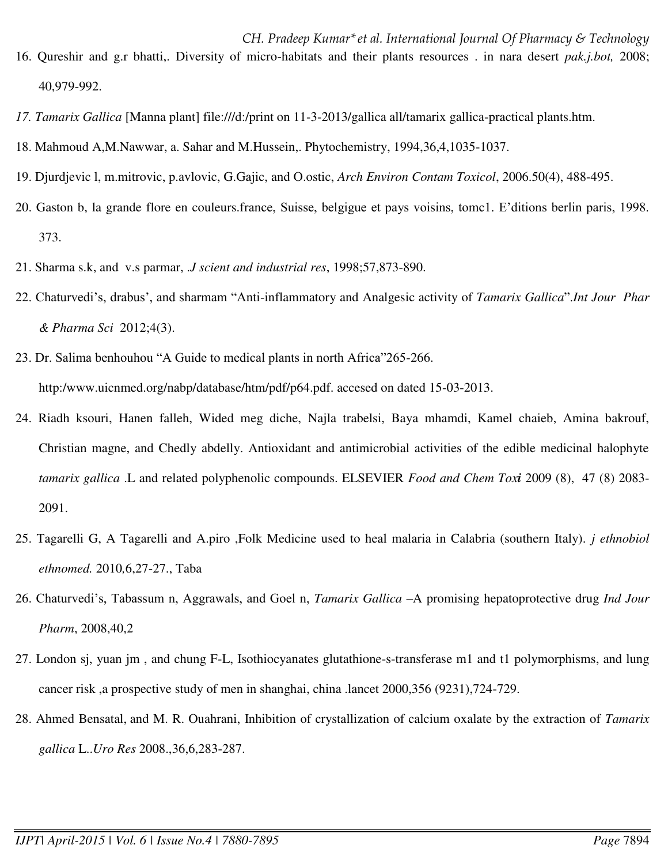- *CH. Pradeep Kumar\*et al. International Journal Of Pharmacy & Technology* 16. Qureshir and g.r bhatti,. Diversity of micro-habitats and their plants resources . in nara desert *pak.j.bot,* 2008; 40,979-992.
- *17. Tamarix Gallica* [Manna plant] [file:///d:/print on 11-3-2013/gallica all/tamarix gallica-practical plants.htm.](file:///C:/print%20on%2011-3-2013/gallica%20all/tamarix%20gallica-practical%20plants.htm)
- 18. Mahmoud A,M.Nawwar, a. Sahar and M.Hussein,. Phytochemistry, 1994,36,4,1035-1037.
- 19. Djurdjevic l, m.mitrovic, p.avlovic, G.Gajic, and O.ostic, *Arch Environ Contam Toxicol*, 2006.50(4), 488-495.
- 20. Gaston b, la grande flore en couleurs.france, Suisse, belgigue et pays voisins, tomc1. E'ditions berlin paris, 1998. 373.
- 21. Sharma s.k, and v.s parmar, .*J scient and industrial res*, 1998;57,873-890.
- 22. Chaturvedi's, drabus', and sharmam "Anti-inflammatory and Analgesic activity of *Tamarix Gallica*".*Int Jour Phar & Pharma Sci* 2012;4(3).
- 23. Dr. Salima benhouhou "A Guide to medical plants in north Africa"265-266. http:/www.uicnmed.org/nabp/database/htm/pdf/p64.pdf. accesed on dated 15-03-2013.
- 24. Riadh ksouri, Hanen falleh, Wided meg diche, Najla trabelsi, Baya mhamdi, Kamel chaieb, Amina bakrouf, Christian magne, and Chedly abdelly. Antioxidant and antimicrobial activities of the edible medicinal halophyte *tamarix gallica* .L and related polyphenolic compounds. ELSEVIER *[Food and Chem Tox](http://www.sciencedirect.com/science/journal/02786915)i* 2009 (8), 47 (8) 2083- 2091.
- 25. Tagarelli G, A Tagarelli and A.piro ,Folk Medicine used to heal malaria in Calabria (southern Italy). *j ethnobiol ethnomed.* 2010*,*6,27-27., Taba
- 26. Chaturvedi's, Tabassum n, Aggrawals, and Goel n, *Tamarix Gallica* –A promising hepatoprotective drug *Ind Jour Pharm*, 2008,40,2
- 27. London sj, yuan jm , and chung F-L, Isothiocyanates glutathione-s-transferase m1 and t1 polymorphisms, and lung cancer risk ,a prospective study of men in shanghai, china .lancet 2000,356 (9231),724-729.
- 28. [Ahmed Bensatal,](http://link.springer.com/search?facet-author=%22Ahmed+Bensatal%22) and M. [R. Ouahrani,](http://link.springer.com/search?facet-author=%22M.+R.+Ouahrani%22) Inhibition of crystallization of calcium oxalate by the extraction of *Tamarix gallica* L..*Uro Res* 2008.,36,6,283-287.